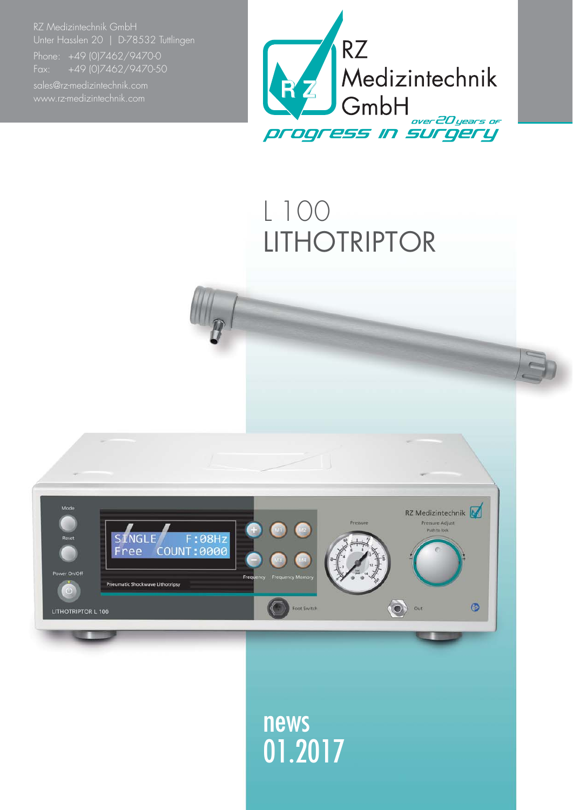RZ Medizintechnik GmbH Unter Hasslen 20 | D-78532 Tuttlingen

Fax: +49 (0)7462/9470-50



## L 100 LITHOTRIPTOR



news 01.2017